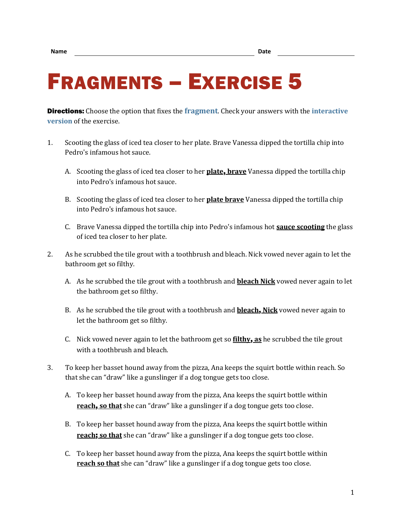## FRAGMENTS – EXERCISE 5

Directions: Choose the option that fixes the **[fragment](https://chompchomp.com/terms/fragment.htm)**. Check your answers with the **[interactive](https://chompchomp.com/frag05/)  [version](https://chompchomp.com/frag05/)** of the exercise.

- 1. Scooting the glass of iced tea closer to her plate. Brave Vanessa dipped the tortilla chip into Pedro's infamous hot sauce.
	- A. Scooting the glass of iced tea closer to her **plate**, **brave** Vanessa dipped the tortilla chip into Pedro's infamous hot sauce.
	- B. Scooting the glass of iced tea closer to her **plate brave** Vanessa dipped the tortilla chip into Pedro's infamous hot sauce.
	- C. Brave Vanessa dipped the tortilla chip into Pedro's infamous hot **sauce scooting** the glass of iced tea closer to her plate.
- 2. As he scrubbed the tile grout with a toothbrush and bleach. Nick vowed never again to let the bathroom get so filthy.
	- A. As he scrubbed the tile grout with a toothbrush and **bleach Nick** vowed never again to let the bathroom get so filthy.
	- B. As he scrubbed the tile grout with a toothbrush and **bleach**, **Nick** vowed never again to let the bathroom get so filthy.
	- C. Nick vowed never again to let the bathroom get so **filthy**, **as** he scrubbed the tile grout with a toothbrush and bleach.
- 3. To keep her basset hound away from the pizza, Ana keeps the squirt bottle within reach. So that she can "draw" like a gunslinger if a dog tongue gets too close.
	- A. To keep her basset hound away from the pizza, Ana keeps the squirt bottle within **reach**, **so that** she can "draw" like a gunslinger if a dog tongue gets too close.
	- B. To keep her basset hound away from the pizza, Ana keeps the squirt bottle within **reach**; **so that** she can "draw" like a gunslinger if a dog tongue gets too close.
	- C. To keep her basset hound away from the pizza, Ana keeps the squirt bottle within **reach so that** she can "draw" like a gunslinger if a dog tongue gets too close.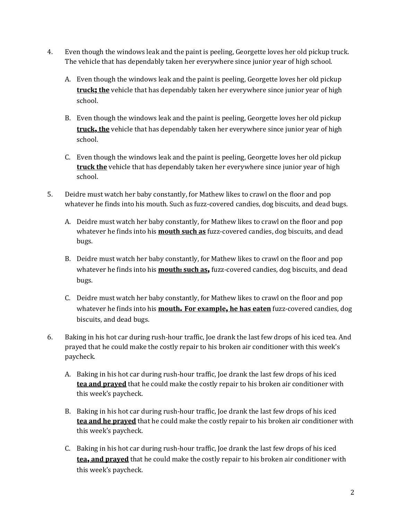- 4. Even though the windows leak and the paint is peeling, Georgette loves her old pickup truck. The vehicle that has dependably taken her everywhere since junior year of high school.
	- A. Even though the windows leak and the paint is peeling, Georgette loves her old pickup **truck**; **the** vehicle that has dependably taken her everywhere since junior year of high school.
	- B. Even though the windows leak and the paint is peeling, Georgette loves her old pickup **truck**, **the** vehicle that has dependably taken her everywhere since junior year of high school.
	- C. Even though the windows leak and the paint is peeling, Georgette loves her old pickup **truck the** vehicle that has dependably taken her everywhere since junior year of high school.
- 5. Deidre must watch her baby constantly, for Mathew likes to crawl on the floor and pop whatever he finds into his mouth. Such as fuzz-covered candies, dog biscuits, and dead bugs.
	- A. Deidre must watch her baby constantly, for Mathew likes to crawl on the floor and pop whatever he finds into his **mouth such as** fuzz-covered candies, dog biscuits, and dead bugs.
	- B. Deidre must watch her baby constantly, for Mathew likes to crawl on the floor and pop whatever he finds into his **mouth: such as**, fuzz-covered candies, dog biscuits, and dead bugs.
	- C. Deidre must watch her baby constantly, for Mathew likes to crawl on the floor and pop whatever he finds into his **mouth. For example**, **he has eaten** fuzz-covered candies, dog biscuits, and dead bugs.
- 6. Baking in his hot car during rush-hour traffic, Joe drank the last few drops of his iced tea. And prayed that he could make the costly repair to his broken air conditioner with this week's paycheck.
	- A. Baking in his hot car during rush-hour traffic, Joe drank the last few drops of his iced **tea and prayed** that he could make the costly repair to his broken air conditioner with this week's paycheck.
	- B. Baking in his hot car during rush-hour traffic, Joe drank the last few drops of his iced **tea and he prayed** that he could make the costly repair to his broken air conditioner with this week's paycheck.
	- C. Baking in his hot car during rush-hour traffic, Joe drank the last few drops of his iced **tea**, **and prayed** that he could make the costly repair to his broken air conditioner with this week's paycheck.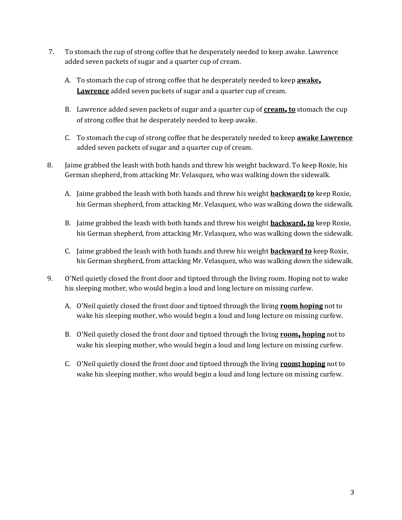- 7. To stomach the cup of strong coffee that he desperately needed to keep awake. Lawrence added seven packets of sugar and a quarter cup of cream.
	- A. To stomach the cup of strong coffee that he desperately needed to keep **awake**, **Lawrence** added seven packets of sugar and a quarter cup of cream.
	- B. Lawrence added seven packets of sugar and a quarter cup of **cream**, **to** stomach the cup of strong coffee that he desperately needed to keep awake.
	- C. To stomach the cup of strong coffee that he desperately needed to keep **awake Lawrence** added seven packets of sugar and a quarter cup of cream.
- 8. Jaime grabbed the leash with both hands and threw his weight backward. To keep Roxie, his German shepherd, from attacking Mr. Velasquez, who was walking down the sidewalk.
	- A. Jaime grabbed the leash with both hands and threw his weight **backward**; **to** keep Roxie, his German shepherd, from attacking Mr. Velasquez, who was walking down the sidewalk.
	- B. Jaime grabbed the leash with both hands and threw his weight **backward**, **to** keep Roxie, his German shepherd, from attacking Mr. Velasquez, who was walking down the sidewalk.
	- C. Jaime grabbed the leash with both hands and threw his weight **backward to** keep Roxie, his German shepherd, from attacking Mr. Velasquez, who was walking down the sidewalk.
- 9. O'Neil quietly closed the front door and tiptoed through the living room. Hoping not to wake his sleeping mother, who would begin a loud and long lecture on missing curfew.
	- A. O'Neil quietly closed the front door and tiptoed through the living **room hoping** not to wake his sleeping mother, who would begin a loud and long lecture on missing curfew.
	- B. O'Neil quietly closed the front door and tiptoed through the living **room**, **hoping** not to wake his sleeping mother, who would begin a loud and long lecture on missing curfew.
	- C. O'Neil quietly closed the front door and tiptoed through the living **room**; **hoping** not to wake his sleeping mother, who would begin a loud and long lecture on missing curfew.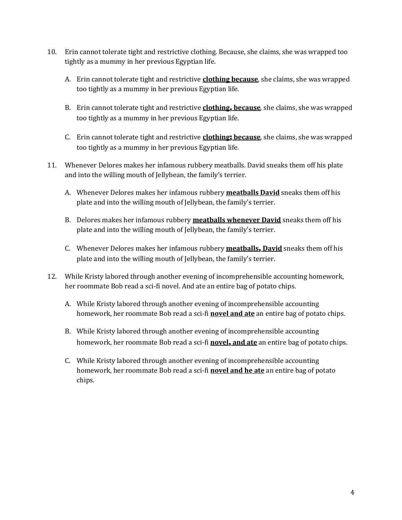- 10. Erin cannot tolerate tight and restrictive clothing. Because, she claims, she was wrapped too tightly as a mummy in her previous Egyptian life.
	- A. Erin cannot tolerate tight and restrictive **clothing because**, she claims, she was wrapped too tightly as a mummy in her previous Egyptian life.
	- B. Erin cannot tolerate tight and restrictive **clothing**, **because**, she claims, she was wrapped too tightly as a mummy in her previous Egyptian life.
	- C. Erin cannot tolerate tight and restrictive **clothing**; **because**, she claims, she was wrapped too tightly as a mummy in her previous Egyptian life.
- 11. Whenever Delores makes her infamous rubbery meatballs. David sneaks them off his plate and into the willing mouth of Jellybean, the family's terrier.
	- A. Whenever Delores makes her infamous rubbery **meatballs David** sneaks them off his plate and into the willing mouth of Jellybean, the family's terrier.
	- B. Delores makes her infamous rubbery **meatballs whenever David** sneaks them off his plate and into the willing mouth of Jellybean, the family's terrier.
	- C. Whenever Delores makes her infamous rubbery **meatballs**, **David** sneaks them off his plate and into the willing mouth of Jellybean, the family's terrier.
- 12. While Kristy labored through another evening of incomprehensible accounting homework, her roommate Bob read a sci-fi novel. And ate an entire bag of potato chips.
	- A. While Kristy labored through another evening of incomprehensible accounting homework, her roommate Bob read a sci-fi **novel and ate** an entire bag of potato chips.
	- B. While Kristy labored through another evening of incomprehensible accounting homework, her roommate Bob read a sci-fi **novel**, **and ate** an entire bag of potato chips.
	- C. While Kristy labored through another evening of incomprehensible accounting homework, her roommate Bob read a sci-fi **novel and he ate** an entire bag of potato chips.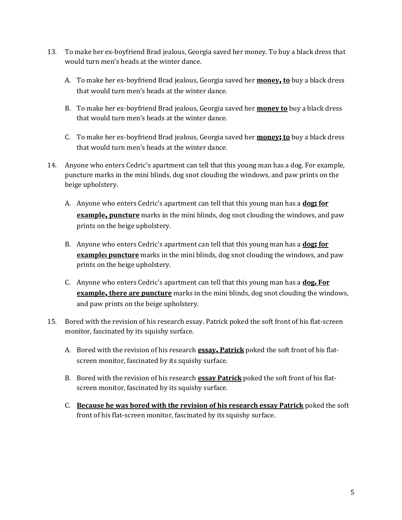- 13. To make her ex-boyfriend Brad jealous, Georgia saved her money. To buy a black dress that would turn men's heads at the winter dance.
	- A. To make her ex-boyfriend Brad jealous, Georgia saved her **money**, **to** buy a black dress that would turn men's heads at the winter dance.
	- B. To make her ex-boyfriend Brad jealous, Georgia saved her **money to** buy a black dress that would turn men's heads at the winter dance.
	- C. To make her ex-boyfriend Brad jealous, Georgia saved her **money**; **to** buy a black dress that would turn men's heads at the winter dance.
- 14. Anyone who enters Cedric's apartment can tell that this young man has a dog. For example, puncture marks in the mini blinds, dog snot clouding the windows, and paw prints on the beige upholstery.
	- A. Anyone who enters Cedric's apartment can tell that this young man has a **dog**; **for example**, **puncture** marks in the mini blinds, dog snot clouding the windows, and paw prints on the beige upholstery.
	- B. Anyone who enters Cedric's apartment can tell that this young man has a **dog**; **for example: puncture** marks in the mini blinds, dog snot clouding the windows, and paw prints on the beige upholstery.
	- C. Anyone who enters Cedric's apartment can tell that this young man has a **dog. For example**, **there are puncture** marks in the mini blinds, dog snot clouding the windows, and paw prints on the beige upholstery.
- 15. Bored with the revision of his research essay. Patrick poked the soft front of his flat-screen monitor, fascinated by its squishy surface.
	- A. Bored with the revision of his research **essay**, **Patrick** poked the soft front of his flatscreen monitor, fascinated by its squishy surface.
	- B. Bored with the revision of his research **essay Patrick** poked the soft front of his flatscreen monitor, fascinated by its squishy surface.
	- C. **Because he was bored with the revision of his research essay Patrick** poked the soft front of his flat-screen monitor, fascinated by its squishy surface.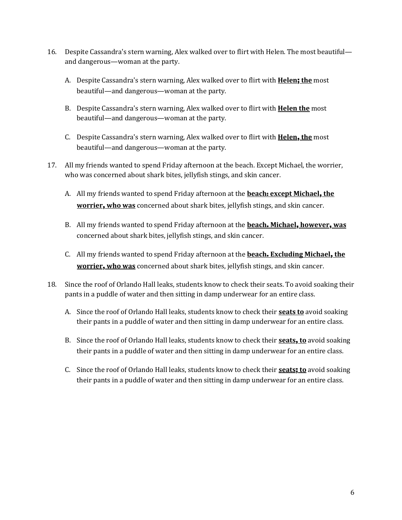- 16. Despite Cassandra's stern warning, Alex walked over to flirt with Helen. The most beautiful and dangerous—woman at the party.
	- A. Despite Cassandra's stern warning, Alex walked over to flirt with **Helen**; **the** most beautiful—and dangerous—woman at the party.
	- B. Despite Cassandra's stern warning, Alex walked over to flirt with **Helen the** most beautiful—and dangerous—woman at the party.
	- C. Despite Cassandra's stern warning, Alex walked over to flirt with **Helen**, **the** most beautiful—and dangerous—woman at the party.
- 17. All my friends wanted to spend Friday afternoon at the beach. Except Michael, the worrier, who was concerned about shark bites, jellyfish stings, and skin cancer.
	- A. All my friends wanted to spend Friday afternoon at the **beach: except Michael**, **the worrier**, **who was** concerned about shark bites, jellyfish stings, and skin cancer.
	- B. All my friends wanted to spend Friday afternoon at the **beach. Michael**, **however**, **was** concerned about shark bites, jellyfish stings, and skin cancer.
	- C. All my friends wanted to spend Friday afternoon at the **beach. Excluding Michael**, **the worrier**, **who was** concerned about shark bites, jellyfish stings, and skin cancer.
- 18. Since the roof of Orlando Hall leaks, students know to check their seats. To avoid soaking their pants in a puddle of water and then sitting in damp underwear for an entire class.
	- A. Since the roof of Orlando Hall leaks, students know to check their **seats to** avoid soaking their pants in a puddle of water and then sitting in damp underwear for an entire class.
	- B. Since the roof of Orlando Hall leaks, students know to check their **seats**, **to** avoid soaking their pants in a puddle of water and then sitting in damp underwear for an entire class.
	- C. Since the roof of Orlando Hall leaks, students know to check their **seats**; **to** avoid soaking their pants in a puddle of water and then sitting in damp underwear for an entire class.